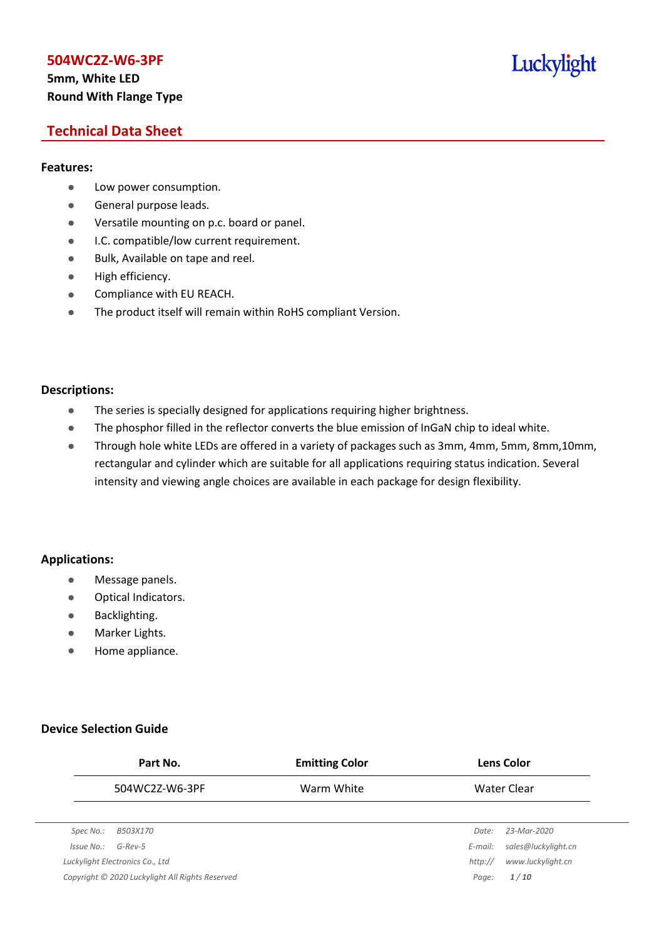# **5mm, White LED Round With Flange Type**

# Luckylight

# **Technical Data Sheet**

## **Features:**

- **•** Low power consumption.
- **General purpose leads.**
- Versatile mounting on p.c. board or panel.
- **I.C. compatible/low current requirement.**
- Bulk, Available on tape and reel.
- $\bullet$  High efficiency.
- **•** Compliance with EU REACH.
- The product itself will remain within RoHS compliant Version.

## **Descriptions:**

- The series is specially designed for applications requiring higher brightness.
- The phosphor filled in the reflector converts the blue emission of InGaN chip to ideal white.
- Through hole white LEDs are offered in a variety of packages such as 3mm, 4mm, 5mm, 8mm,10mm, rectangular and cylinder which are suitable for all applications requiring status indication. Several intensity and viewing angle choices are available in each package for design flexibility.

## **Applications:**

- **•** Message panels.
- Optical Indicators.
- Backlighting.
- Marker Lights.
- **•** Home appliance.

## **Device Selection Guide**

|            | Part No.                                        | <b>Emitting Color</b> |         | <b>Lens Color</b>   |
|------------|-------------------------------------------------|-----------------------|---------|---------------------|
|            | 504WC2Z-W6-3PF                                  | Warm White            |         | Water Clear         |
|            |                                                 |                       |         |                     |
| Spec No.:  | B503X170                                        |                       | Date:   | 23-Mar-2020         |
| Issue No.: | $G$ -Rev-5                                      |                       | E-mail: | sales@luckylight.cn |
|            | Luckylight Electronics Co., Ltd                 |                       | http:// | www.luckylight.cn   |
|            | Copyright © 2020 Luckylight All Rights Reserved |                       | Page:   | 1/10                |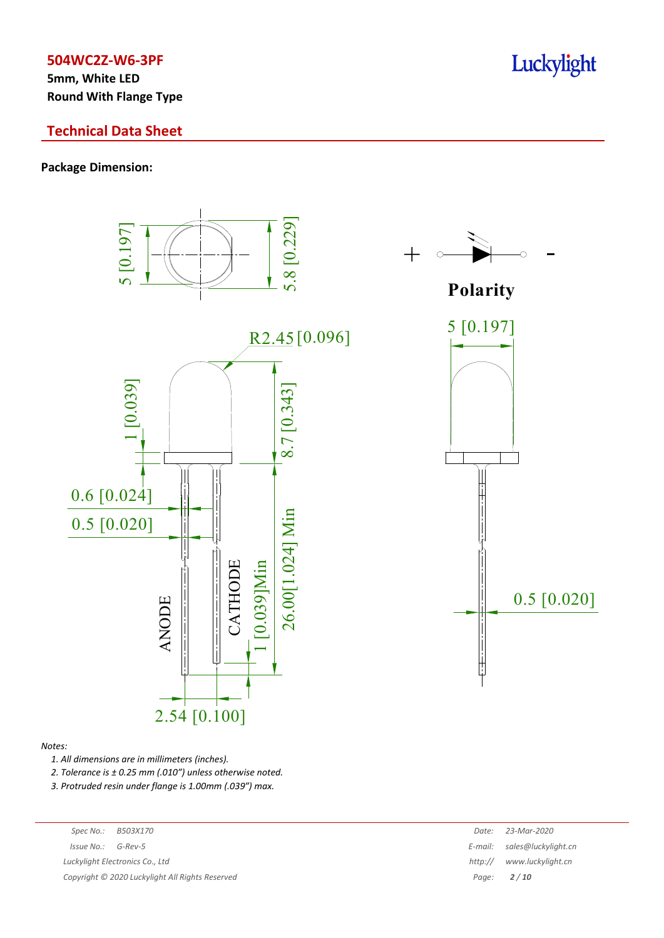**5mm, White LED Round With Flange Type**

# **Technical Data Sheet**

# **Package Dimension:**



#### *Notes:*

*1. All dimensions are in millimeters (inches).*

*2. Tolerance is ± 0.25 mm (.010″) unless otherwise noted.*

*3. Protruded resin under flange is 1.00mm (.039″) max.*

| Spec No.:            | B503X170                                        | Date:   | 23-Mar-2020         |
|----------------------|-------------------------------------------------|---------|---------------------|
| $Issue No.: G-Rev-5$ |                                                 | E-mail: | sales@luckylight.cn |
|                      | Luckylight Electronics Co., Ltd                 | http:// | www.luckylight.cn   |
|                      | Copyright © 2020 Luckylight All Rights Reserved |         | Page: $2/10$        |
|                      |                                                 |         |                     |

# Luckylight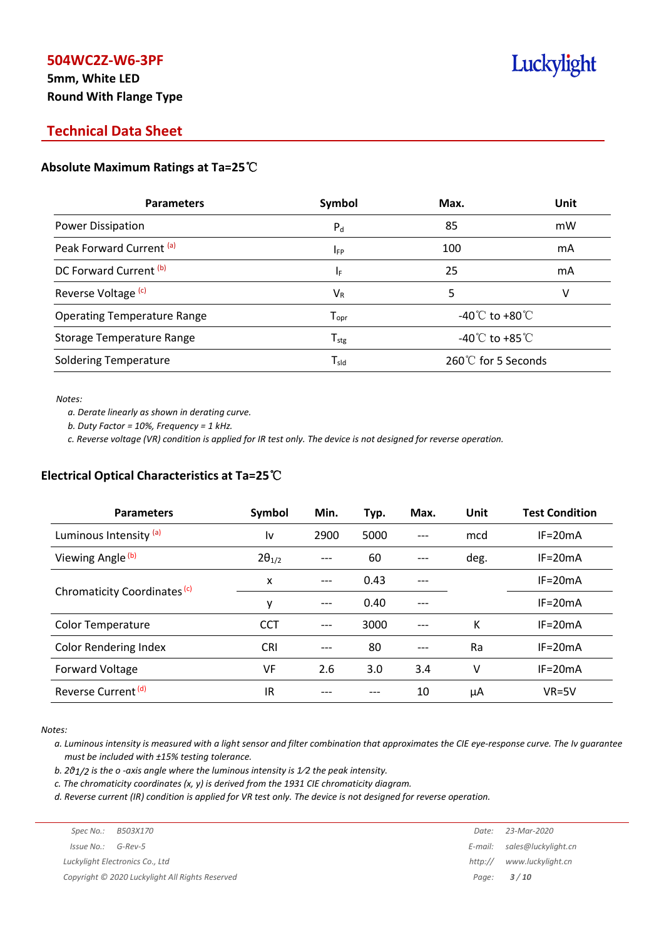# **5mm, White LED Round With Flange Type**

# Luckylight

# **Technical Data Sheet**

## **Absolute Maximum Ratings at Ta=25**℃

| <b>Parameters</b>                  | Symbol                       | Max.                                 | Unit |
|------------------------------------|------------------------------|--------------------------------------|------|
| Power Dissipation                  | $P_{d}$                      | 85                                   | mW   |
| Peak Forward Current (a)           | <b>IFP</b>                   | 100                                  | mA   |
| DC Forward Current (b)             | ΙF                           | 25                                   | mA   |
| Reverse Voltage <sup>(c)</sup>     | $V_{R}$                      | 5                                    | v    |
| <b>Operating Temperature Range</b> | ${\mathsf T}_{\textsf{opr}}$ | -40 $^{\circ}$ C to +80 $^{\circ}$ C |      |
| Storage Temperature Range          | ${\mathsf T}_{\text{stg}}$   | -40 $^{\circ}$ C to +85 $^{\circ}$ C |      |
| <b>Soldering Temperature</b>       | ${\mathsf T}_{\textsf{sld}}$ | 260℃ for 5 Seconds                   |      |

*Notes:*

*a. Derate linearly as shown in derating curve.*

*b. Duty Factor = 10%, Frequency = 1 kHz.*

c. Reverse voltage (VR) condition is applied for IR test only. The device is not designed for reverse operation.

## **Electrical Optical Characteristics at Ta=25**℃

| <b>Parameters</b>                       | Symbol          | Min.  | Typ. | Max. | Unit | <b>Test Condition</b> |
|-----------------------------------------|-----------------|-------|------|------|------|-----------------------|
| Luminous Intensity (a)                  | ١v              | 2900  | 5000 |      | mcd  | $IF = 20mA$           |
| Viewing Angle <sup>(b)</sup>            | $2\theta_{1/2}$ |       | 60   |      | deg. | $IF = 20mA$           |
|                                         | X               | $---$ | 0.43 |      |      | $IF = 20mA$           |
| Chromaticity Coordinates <sup>(c)</sup> | y               | ---   | 0.40 |      |      | $IF = 20mA$           |
| <b>Color Temperature</b>                | <b>CCT</b>      | ---   | 3000 |      | K    | $IF = 20mA$           |
| <b>Color Rendering Index</b>            | <b>CRI</b>      |       | 80   |      | Ra   | $IF = 20mA$           |
| Forward Voltage                         | VF              | 2.6   | 3.0  | 3.4  | v    | $IF = 20mA$           |
| Reverse Current <sup>(d)</sup>          | IR              |       |      | 10   | μA   | $VR=5V$               |

*Notes:*

a. Luminous intensity is measured with a light sensor and filter combination that approximates the CIE eye-response curve. The Iv guarantee *must be included with ±15% testing tolerance.*

*b. 2θ1/2 is the o -axis angle where the luminous intensity is 1⁄2 the peak intensity.*

*c. The chromaticity coordinates (x, y) is derived from the 1931 CIE chromaticity diagram.*

d. Reverse current (IR) condition is applied for VR test only. The device is not designed for reverse operation.

| Spec No.:              | B503X170                                        | Date:   | 23-Mar-2020                 |
|------------------------|-------------------------------------------------|---------|-----------------------------|
| $Is sue No.:  G-Rev-5$ |                                                 |         | E-mail: sales@luckylight.cn |
|                        | Luckylight Electronics Co., Ltd                 | http:// | www.luckylight.cn           |
|                        | Copyright © 2020 Luckylight All Rights Reserved |         | Page: <b>3/10</b>           |
|                        |                                                 |         |                             |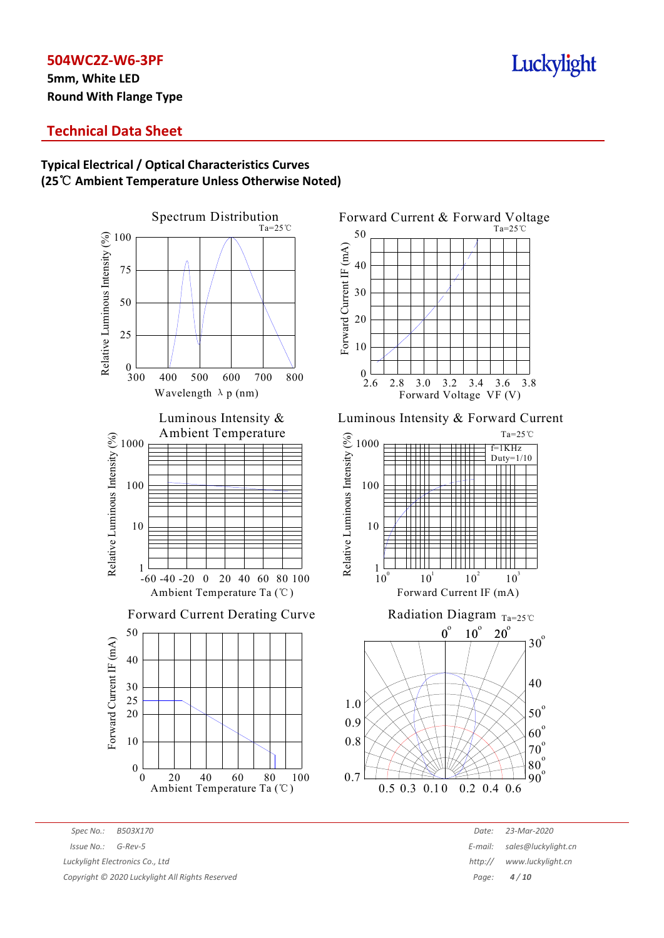**5mm, White LED Round With Flange Type**

# Luckylight

# **Technical Data Sheet**

# **Typical Electrical / Optical Characteristics Curves (25**℃ **Ambient Temperature Unless Otherwise Noted)**



Forward Current & Forward Voltage Ta=25℃ 50 Forward Current IF (mA) Forward Current IF (mA) 40 30 20 10  $0^{1}$ <br>2.6 2.8 3.0 3.2 3.4 3.6 3.8 Forward Voltage VF (V)

Luminous Intensity & Forward Current





*Spec No.: B503X170 Date: 23-Mar-2020 Issue* No.: *G-Rev-5 E-mail: And Series And Series And Series And Series And Series And Series And Series E-mail: Series E-mail: And Series And Series And Series And Series And Series And Series And Series And Luckylight Electronics Co., Ltd http:// www.luckylight.cn*

*Copyright © 2020 Luckylight All Rights Reserved Page: 4 / 10*

| Date:  | 23-Mar-2020         |
|--------|---------------------|
| mail:  | sales@luckylight.cn |
| ttp:// | www.luckylight.cn   |
| Page:  | 4/10                |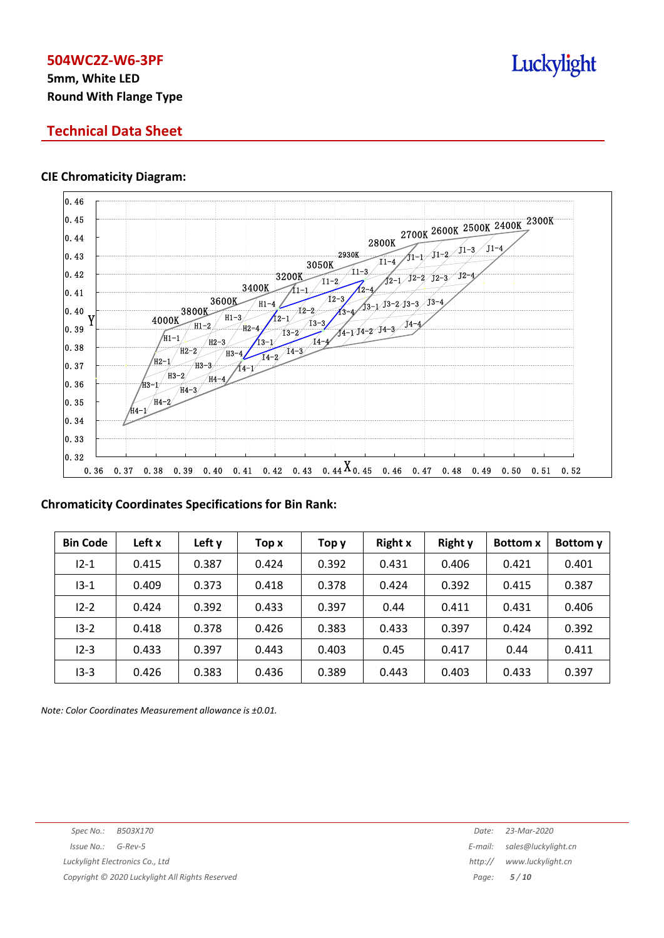# **5mm, White LED Round With Flange Type**

# **Technical Data Sheet**

## **CIE Chromaticity Diagram:**



## **Chromaticity Coordinates Specifications for Bin Rank:**

| <b>Bin Code</b> | Left x | Left y | Top x | Тор у | <b>Right x</b> | <b>Right y</b> | <b>Bottom x</b> | Bottom y |
|-----------------|--------|--------|-------|-------|----------------|----------------|-----------------|----------|
| $12 - 1$        | 0.415  | 0.387  | 0.424 | 0.392 | 0.431          | 0.406          | 0.421           | 0.401    |
| $13 - 1$        | 0.409  | 0.373  | 0.418 | 0.378 | 0.424          | 0.392          | 0.415           | 0.387    |
| $12 - 2$        | 0.424  | 0.392  | 0.433 | 0.397 | 0.44           | 0.411          | 0.431           | 0.406    |
| $13 - 2$        | 0.418  | 0.378  | 0.426 | 0.383 | 0.433          | 0.397          | 0.424           | 0.392    |
| $12 - 3$        | 0.433  | 0.397  | 0.443 | 0.403 | 0.45           | 0.417          | 0.44            | 0.411    |
| $13 - 3$        | 0.426  | 0.383  | 0.436 | 0.389 | 0.443          | 0.403          | 0.433           | 0.397    |

*Note: Color Coordinates Measurement allowance is ±0.01.*

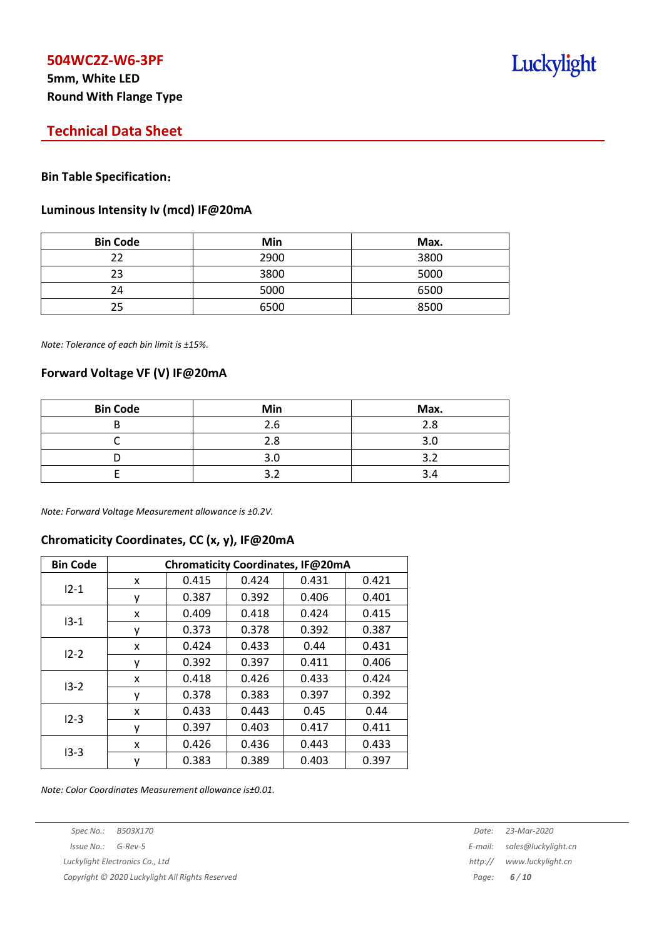# **5mm, White LED Round With Flange Type**

# **Technical Data Sheet**

## **Bin Table Specification**:

#### **Luminous Intensity Iv (mcd) IF@20mA**

| <b>Bin Code</b> | Min  | Max. |
|-----------------|------|------|
| フフ              | 2900 | 3800 |
| 23              | 3800 | 5000 |
| 24              | 5000 | 6500 |
| 25              | 6500 | 8500 |

*Note: Tolerance of each bin limit is ±15%.*

## **Forward Voltage VF (V) IF@20mA**

| <b>Bin Code</b> | Min | Max. |
|-----------------|-----|------|
|                 | 2.6 | 2.8  |
|                 | 2.8 |      |
|                 | 3.0 | ⌒    |
|                 | ◠   |      |

*Note: Forward Voltage Measurement allowance is ±0.2V.*

# **Chromaticity Coordinates, CC (x, y), IF@20mA**

| <b>Bin Code</b> | Chromaticity Coordinates, IF@20mA |       |       |       |       |  |
|-----------------|-----------------------------------|-------|-------|-------|-------|--|
|                 | x                                 | 0.415 | 0.424 | 0.431 | 0.421 |  |
| $12 - 1$        | ٧                                 | 0.387 | 0.392 | 0.406 | 0.401 |  |
|                 | x                                 | 0.409 | 0.418 | 0.424 | 0.415 |  |
| $13 - 1$        | у                                 | 0.373 | 0.378 | 0.392 | 0.387 |  |
| $12 - 2$        | x                                 | 0.424 | 0.433 | 0.44  | 0.431 |  |
|                 | у                                 | 0.392 | 0.397 | 0.411 | 0.406 |  |
|                 | x                                 | 0.418 | 0.426 | 0.433 | 0.424 |  |
| $13 - 2$        | ۷                                 | 0.378 | 0.383 | 0.397 | 0.392 |  |
|                 | x                                 | 0.433 | 0.443 | 0.45  | 0.44  |  |
| $12 - 3$        | ۷                                 | 0.397 | 0.403 | 0.417 | 0.411 |  |
| $13-3$          | x                                 | 0.426 | 0.436 | 0.443 | 0.433 |  |
|                 | у                                 | 0.383 | 0.389 | 0.403 | 0.397 |  |

*Note: Color Coordinates Measurement allowance is±0.01.*

*Copyright © 2020 Luckylight All Rights Reserved Page: 6 / 10*

*Spec No.: B503X170 Date: 23-Mar-2020 Issue No.: G-Rev-5 E-mail: sales@luckylight.cn Luckylight Electronics Co., Ltd http:// www.luckylight.cn*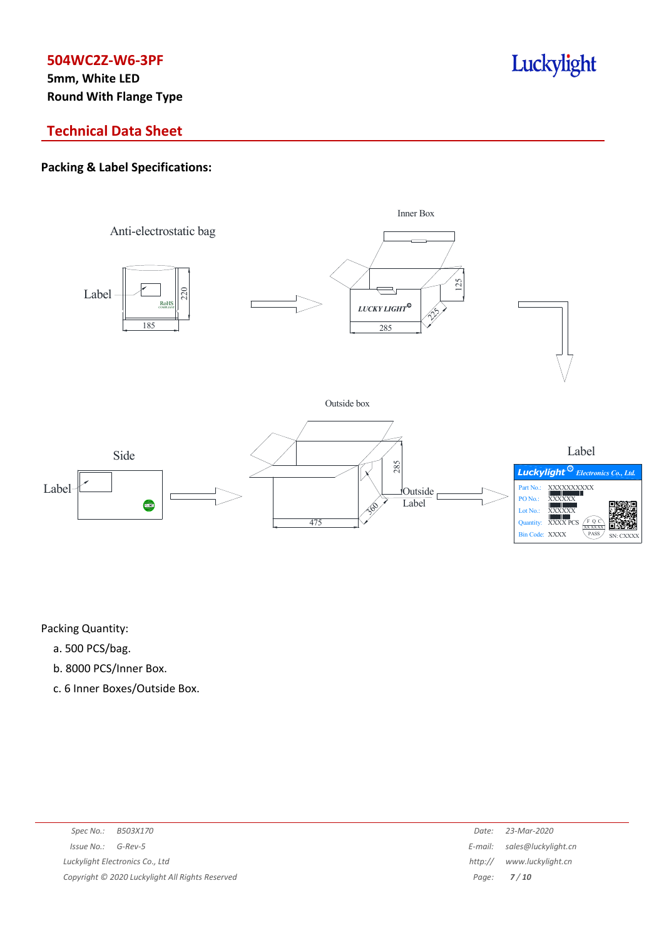**5mm, White LED Round With Flange Type**

# Luckylight

# **Technical Data Sheet**

# **Packing & Label Specifications:**



Packing Quantity:

- a. 500 PCS/bag.
- b. 8000 PCS/Inner Box.
- c. 6 Inner Boxes/Outside Box.

| Spec No.: B503X170                              | Date:   | 23-Mar-2020                 |
|-------------------------------------------------|---------|-----------------------------|
| Issue No.: G-Rev-5                              |         | E-mail: sales@luckylight.cn |
| Luckylight Electronics Co., Ltd                 | http:// | www.luckylight.cn           |
| Copyright © 2020 Luckylight All Rights Reserved |         | Page: <b>7/10</b>           |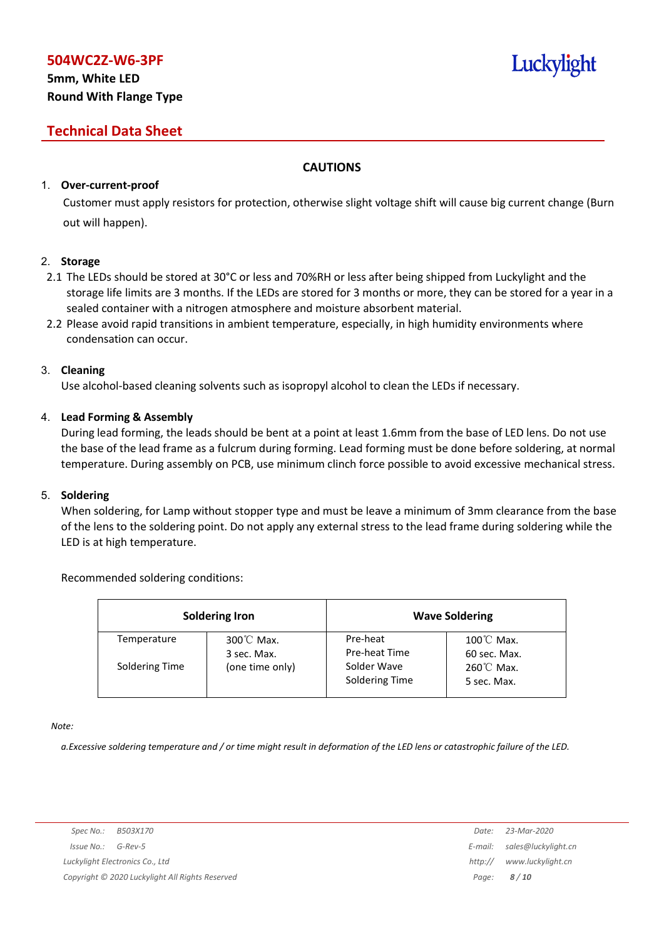# **5mm, White LED Round With Flange Type**

# **Technical Data Sheet**

## **CAUTIONS**

## 1. **Over-current-proof**

Customer must apply resistors for protection, otherwise slight voltage shift will cause big current change (Burn out will happen).

## 2. **Storage**

- 2.1 The LEDs should be stored at 30°C or less and 70%RH or less after being shipped from Luckylight and the storage life limits are 3 months. If the LEDs are stored for 3 months or more, they can be stored for a year in a sealed container with a nitrogen atmosphere and moisture absorbent material.
- 2.2 Please avoid rapid transitions in ambient temperature, especially, in high humidity environments where condensation can occur.

## 3. **Cleaning**

Use alcohol-based cleaning solvents such as isopropyl alcohol to clean the LEDs if necessary.

## 4. **Lead Forming & Assembly**

During lead forming, the leads should be bent at a point at least 1.6mm from the base of LED lens. Do not use the base of the lead frame as a fulcrum during forming. Lead forming must be done before soldering, at normal temperature. During assembly on PCB, use minimum clinch force possible to avoid excessive mechanical stress.

## 5. **Soldering**

When soldering, for Lamp without stopper type and must be leave a minimum of 3mm clearance from the base of the lens to the soldering point. Do not apply any external stress to the lead frame during soldering while the LED is at high temperature.

## Recommended soldering conditions:

|                | <b>Soldering Iron</b>    |                               | <b>Wave Soldering</b>                |
|----------------|--------------------------|-------------------------------|--------------------------------------|
| Temperature    | 300℃ Max.<br>3 sec. Max. | Pre-heat<br>Pre-heat Time     | $100^{\circ}$ C Max.<br>60 sec. Max. |
| Soldering Time | (one time only)          | Solder Wave<br>Soldering Time | $260^{\circ}$ C Max.<br>5 sec. Max.  |

*Note:*

a. Excessive soldering temperature and / or time might result in deformation of the LED lens or catastrophic failure of the LED.

Luckylight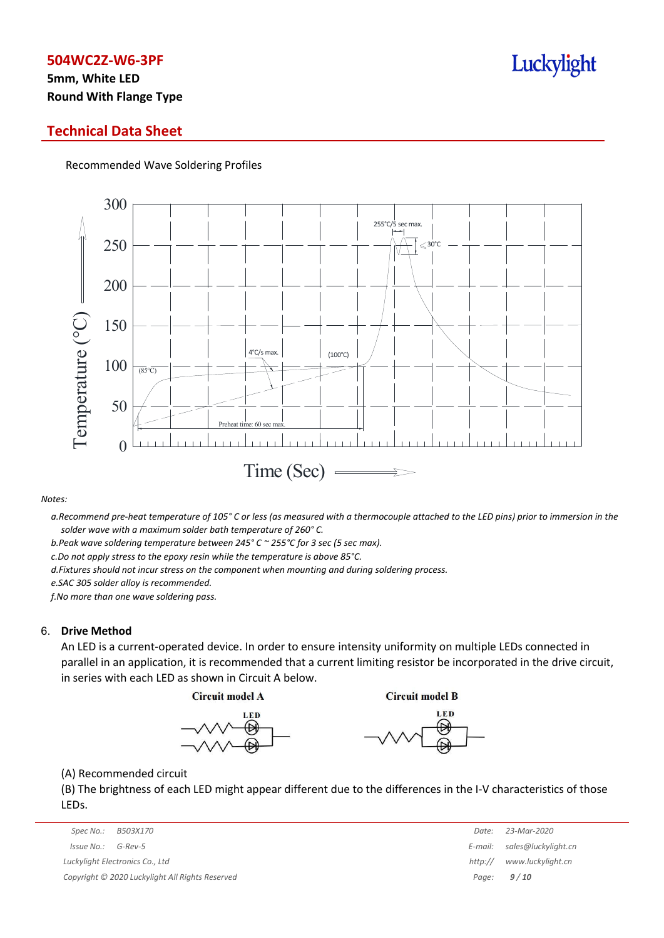# **5mm, White LED Round With Flange Type**

## **Technical Data Sheet**

Recommended Wave Soldering Profiles



*Notes:*

a. Recommend pre-heat temperature of 105° C or less (as measured with a thermocouple attached to the LED pins) prior to immersion in the *solder wave with a maximum solder bath temperature of 260° C.*

*b.Peak wave soldering temperature between 245° C ~ 255°C for 3 sec (5 sec max).*

*c.Do not apply stress to the epoxy resin while the temperature is above 85°C.*

*d.Fixtures should not incur stress on the component when mounting and during soldering process.*

*e.SAC 305 solder alloy is recommended.*

*f.No more than one wave soldering pass.*

#### 6. **Drive Method**

An LED is a current-operated device. In order to ensure intensity uniformity on multiple LEDs connected in parallel in an application, it is recommended that a current limiting resistor be incorporated in the drive circuit, in series with each LED as shown in Circuit A below.

**Circuit model A** 

**Circuit model B** 





(A) Recommended circuit

(B) The brightness of each LED might appear different due to the differences in the I-V characteristics of those LEDs.

|                                                 | Spec No.:  | B503X170 | Date:             | 23-Mar-2020         |
|-------------------------------------------------|------------|----------|-------------------|---------------------|
|                                                 | Issue No.: | G-Rev-5  | E-mail:           | sales@luckylight.cn |
| http://<br>Luckylight Electronics Co., Ltd      |            |          | www.luckvliaht.cn |                     |
| Copyright © 2020 Luckylight All Rights Reserved |            |          | Page: $9/10$      |                     |

|         | Date: 23-Mar-2020   |
|---------|---------------------|
| E-mail: | sales@luckylight.cn |
| http:// | www.luckylight.cn   |
| Page:   | 9/10                |

# Luckylight